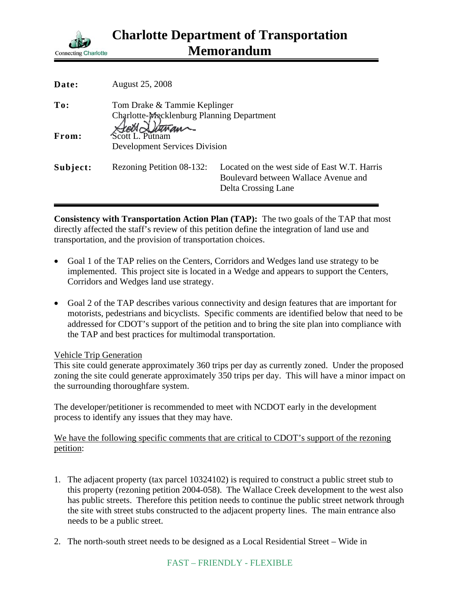

| Date:    | <b>August 25, 2008</b>                                                    |                                                                                                             |
|----------|---------------------------------------------------------------------------|-------------------------------------------------------------------------------------------------------------|
| To:      | Tom Drake & Tammie Keplinger<br>Charlotte-Macklenburg Planning Department |                                                                                                             |
| From:    | Stock Itensan<br>Scott L. Putnam<br><b>Development Services Division</b>  |                                                                                                             |
| Subject: | Rezoning Petition 08-132:                                                 | Located on the west side of East W.T. Harris<br>Boulevard between Wallace Avenue and<br>Delta Crossing Lane |

**Consistency with Transportation Action Plan (TAP):** The two goals of the TAP that most directly affected the staff's review of this petition define the integration of land use and transportation, and the provision of transportation choices.

- Goal 1 of the TAP relies on the Centers, Corridors and Wedges land use strategy to be implemented. This project site is located in a Wedge and appears to support the Centers, Corridors and Wedges land use strategy.
- Goal 2 of the TAP describes various connectivity and design features that are important for motorists, pedestrians and bicyclists. Specific comments are identified below that need to be addressed for CDOT's support of the petition and to bring the site plan into compliance with the TAP and best practices for multimodal transportation.

## Vehicle Trip Generation

This site could generate approximately 360 trips per day as currently zoned. Under the proposed zoning the site could generate approximately 350 trips per day. This will have a minor impact on the surrounding thoroughfare system.

The developer/petitioner is recommended to meet with NCDOT early in the development process to identify any issues that they may have.

We have the following specific comments that are critical to CDOT's support of the rezoning petition:

- 1. The adjacent property (tax parcel 10324102) is required to construct a public street stub to this property (rezoning petition 2004-058). The Wallace Creek development to the west also has public streets. Therefore this petition needs to continue the public street network through the site with street stubs constructed to the adjacent property lines. The main entrance also needs to be a public street.
- 2. The north-south street needs to be designed as a Local Residential Street Wide in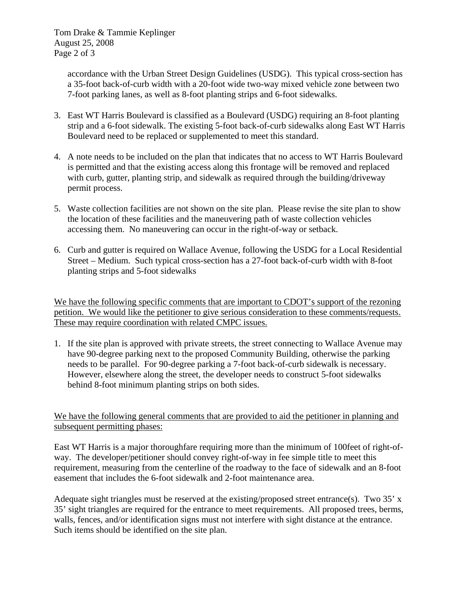Tom Drake & Tammie Keplinger August 25, 2008 Page 2 of 3

> accordance with the Urban Street Design Guidelines (USDG). This typical cross-section has a 35-foot back-of-curb width with a 20-foot wide two-way mixed vehicle zone between two 7-foot parking lanes, as well as 8-foot planting strips and 6-foot sidewalks.

- 3. East WT Harris Boulevard is classified as a Boulevard (USDG) requiring an 8-foot planting strip and a 6-foot sidewalk. The existing 5-foot back-of-curb sidewalks along East WT Harris Boulevard need to be replaced or supplemented to meet this standard.
- 4. A note needs to be included on the plan that indicates that no access to WT Harris Boulevard is permitted and that the existing access along this frontage will be removed and replaced with curb, gutter, planting strip, and sidewalk as required through the building/driveway permit process.
- 5. Waste collection facilities are not shown on the site plan. Please revise the site plan to show the location of these facilities and the maneuvering path of waste collection vehicles accessing them. No maneuvering can occur in the right-of-way or setback.
- 6. Curb and gutter is required on Wallace Avenue, following the USDG for a Local Residential Street – Medium. Such typical cross-section has a 27-foot back-of-curb width with 8-foot planting strips and 5-foot sidewalks

We have the following specific comments that are important to CDOT's support of the rezoning petition. We would like the petitioner to give serious consideration to these comments/requests. These may require coordination with related CMPC issues.

1. If the site plan is approved with private streets, the street connecting to Wallace Avenue may have 90-degree parking next to the proposed Community Building, otherwise the parking needs to be parallel. For 90-degree parking a 7-foot back-of-curb sidewalk is necessary. However, elsewhere along the street, the developer needs to construct 5-foot sidewalks behind 8-foot minimum planting strips on both sides.

We have the following general comments that are provided to aid the petitioner in planning and subsequent permitting phases:

East WT Harris is a major thoroughfare requiring more than the minimum of 100feet of right-ofway. The developer/petitioner should convey right-of-way in fee simple title to meet this requirement, measuring from the centerline of the roadway to the face of sidewalk and an 8-foot easement that includes the 6-foot sidewalk and 2-foot maintenance area.

Adequate sight triangles must be reserved at the existing/proposed street entrance(s). Two 35' x 35' sight triangles are required for the entrance to meet requirements. All proposed trees, berms, walls, fences, and/or identification signs must not interfere with sight distance at the entrance. Such items should be identified on the site plan.